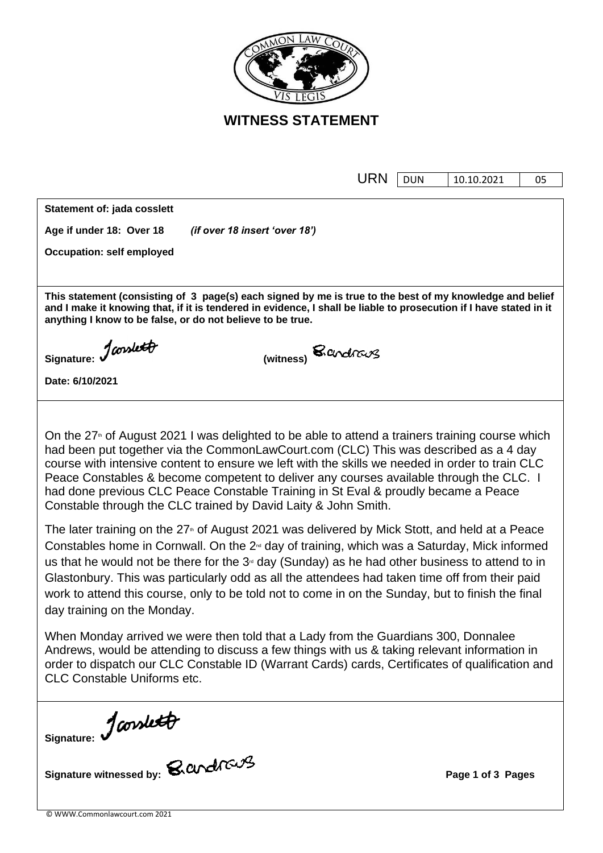

**WITNESS STATEMENT**

|                                                                                                                                                                                                                                                                                                                                                                                                                                                                                                                                                            | URN | <b>DUN</b> | 10.10.2021        | 05 |  |  |  |  |
|------------------------------------------------------------------------------------------------------------------------------------------------------------------------------------------------------------------------------------------------------------------------------------------------------------------------------------------------------------------------------------------------------------------------------------------------------------------------------------------------------------------------------------------------------------|-----|------------|-------------------|----|--|--|--|--|
| Statement of: jada cosslett                                                                                                                                                                                                                                                                                                                                                                                                                                                                                                                                |     |            |                   |    |  |  |  |  |
| Age if under 18: Over 18<br>(if over 18 insert 'over 18')                                                                                                                                                                                                                                                                                                                                                                                                                                                                                                  |     |            |                   |    |  |  |  |  |
| <b>Occupation: self employed</b>                                                                                                                                                                                                                                                                                                                                                                                                                                                                                                                           |     |            |                   |    |  |  |  |  |
|                                                                                                                                                                                                                                                                                                                                                                                                                                                                                                                                                            |     |            |                   |    |  |  |  |  |
| This statement (consisting of 3 page(s) each signed by me is true to the best of my knowledge and belief<br>and I make it knowing that, if it is tendered in evidence, I shall be liable to prosecution if I have stated in it<br>anything I know to be false, or do not believe to be true.                                                                                                                                                                                                                                                               |     |            |                   |    |  |  |  |  |
| Signature: January<br>(witness) <b>S</b> cendrang                                                                                                                                                                                                                                                                                                                                                                                                                                                                                                          |     |            |                   |    |  |  |  |  |
| Date: 6/10/2021                                                                                                                                                                                                                                                                                                                                                                                                                                                                                                                                            |     |            |                   |    |  |  |  |  |
|                                                                                                                                                                                                                                                                                                                                                                                                                                                                                                                                                            |     |            |                   |    |  |  |  |  |
| On the 27 <sup>th</sup> of August 2021 I was delighted to be able to attend a trainers training course which<br>had been put together via the CommonLawCourt.com (CLC) This was described as a 4 day<br>course with intensive content to ensure we left with the skills we needed in order to train CLC<br>Peace Constables & become competent to deliver any courses available through the CLC. I<br>had done previous CLC Peace Constable Training in St Eval & proudly became a Peace<br>Constable through the CLC trained by David Laity & John Smith. |     |            |                   |    |  |  |  |  |
| The later training on the 27 <sup>th</sup> of August 2021 was delivered by Mick Stott, and held at a Peace<br>Constables home in Cornwall. On the $2nd$ day of training, which was a Saturday, Mick informed<br>us that he would not be there for the $3o$ day (Sunday) as he had other business to attend to in<br>Glastonbury. This was particularly odd as all the attendees had taken time off from their paid<br>work to attend this course, only to be told not to come in on the Sunday, but to finish the final<br>day training on the Monday.     |     |            |                   |    |  |  |  |  |
| When Monday arrived we were then told that a Lady from the Guardians 300, Donnalee<br>Andrews, would be attending to discuss a few things with us & taking relevant information in<br>order to dispatch our CLC Constable ID (Warrant Cards) cards, Certificates of qualification and<br><b>CLC Constable Uniforms etc.</b>                                                                                                                                                                                                                                |     |            |                   |    |  |  |  |  |
| Signature: January 8. and 1608                                                                                                                                                                                                                                                                                                                                                                                                                                                                                                                             |     |            |                   |    |  |  |  |  |
|                                                                                                                                                                                                                                                                                                                                                                                                                                                                                                                                                            |     |            | Page 1 of 3 Pages |    |  |  |  |  |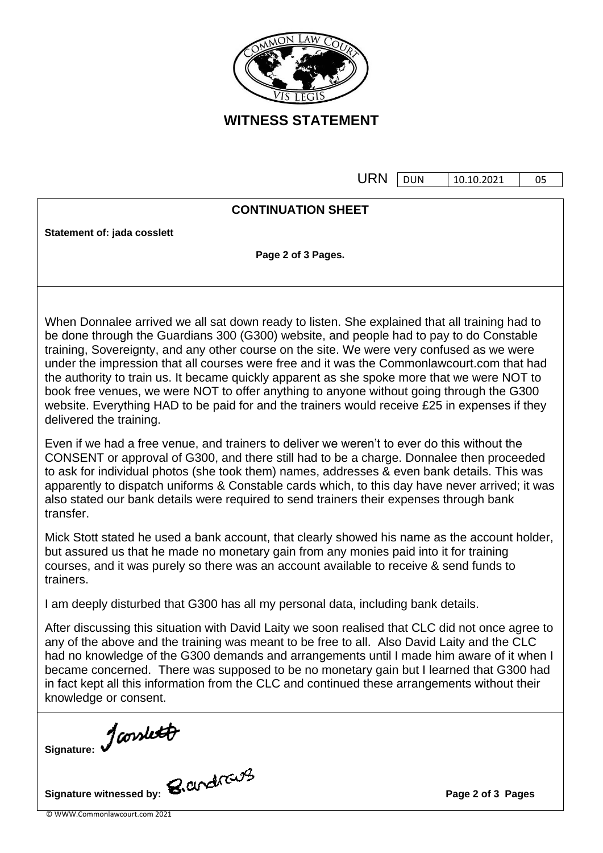

**WITNESS STATEMENT**

 $URN$   $\boxed{DUN}$   $\boxed{10.10.2021}$   $\boxed{0.5}$ 

|                                                                                                                          | URN | <b>DUN</b> | 10.10.2021 | 05 |  |  |  |
|--------------------------------------------------------------------------------------------------------------------------|-----|------------|------------|----|--|--|--|
|                                                                                                                          |     |            |            |    |  |  |  |
| <b>CONTINUATION SHEET</b>                                                                                                |     |            |            |    |  |  |  |
|                                                                                                                          |     |            |            |    |  |  |  |
| Statement of: jada cosslett                                                                                              |     |            |            |    |  |  |  |
| Page 2 of 3 Pages.                                                                                                       |     |            |            |    |  |  |  |
|                                                                                                                          |     |            |            |    |  |  |  |
|                                                                                                                          |     |            |            |    |  |  |  |
|                                                                                                                          |     |            |            |    |  |  |  |
| When Donnalee arrived we all sat down ready to listen. She explained that all training had to                            |     |            |            |    |  |  |  |
| be done through the Guardians 300 (G300) website, and people had to pay to do Constable                                  |     |            |            |    |  |  |  |
| training, Sovereignty, and any other course on the site. We were very confused as we were                                |     |            |            |    |  |  |  |
| under the impression that all courses were free and it was the Commonlawcourt.com that had                               |     |            |            |    |  |  |  |
| the authority to train us. It became quickly apparent as she spoke more that we were NOT to                              |     |            |            |    |  |  |  |
| book free venues, we were NOT to offer anything to anyone without going through the G300                                 |     |            |            |    |  |  |  |
|                                                                                                                          |     |            |            |    |  |  |  |
| website. Everything HAD to be paid for and the trainers would receive £25 in expenses if they<br>delivered the training. |     |            |            |    |  |  |  |
|                                                                                                                          |     |            |            |    |  |  |  |
| Even if we had a free venue, and trainers to deliver we weren't to ever do this without the                              |     |            |            |    |  |  |  |
| CONSENT or approval of G300, and there still had to be a charge. Donnalee then proceeded                                 |     |            |            |    |  |  |  |
| to ask for individual photos (she took them) names, addresses & even bank details. This was                              |     |            |            |    |  |  |  |
| apparently to dispatch uniforms & Constable cards which, to this day have never arrived; it was                          |     |            |            |    |  |  |  |
| also stated our bank details were required to send trainers their expenses through bank                                  |     |            |            |    |  |  |  |
| transfer.                                                                                                                |     |            |            |    |  |  |  |
|                                                                                                                          |     |            |            |    |  |  |  |

Mick Stott stated he used a bank account, that clearly showed his name as the account holder, but assured us that he made no monetary gain from any monies paid into it for training courses, and it was purely so there was an account available to receive & send funds to trainers.

I am deeply disturbed that G300 has all my personal data, including bank details.

After discussing this situation with David Laity we soon realised that CLC did not once agree to any of the above and the training was meant to be free to all. Also David Laity and the CLC had no knowledge of the G300 demands and arrangements until I made him aware of it when I became concerned. There was supposed to be no monetary gain but I learned that G300 had in fact kept all this information from the CLC and continued these arrangements without their knowledge or consent.

Signature: Jaouslett

Signature witnessed by: **Page 2** of 3 Pages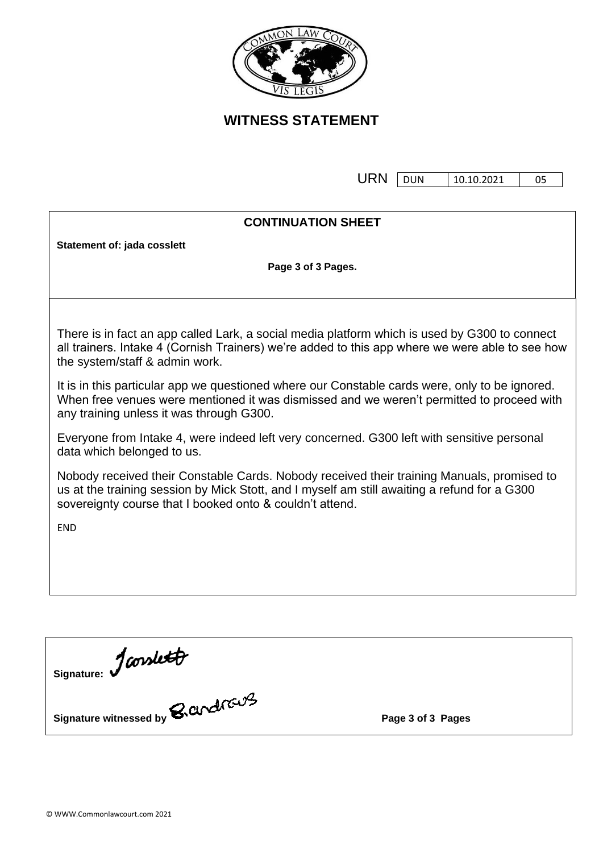

**WITNESS STATEMENT**

URN DUN 10.10.2021 05

| <b>CONTINUATION SHEET</b>                                                                                                                                                                                                                              |  |  |  |  |  |
|--------------------------------------------------------------------------------------------------------------------------------------------------------------------------------------------------------------------------------------------------------|--|--|--|--|--|
| Statement of: jada cosslett                                                                                                                                                                                                                            |  |  |  |  |  |
| Page 3 of 3 Pages.                                                                                                                                                                                                                                     |  |  |  |  |  |
|                                                                                                                                                                                                                                                        |  |  |  |  |  |
|                                                                                                                                                                                                                                                        |  |  |  |  |  |
| There is in fact an app called Lark, a social media platform which is used by G300 to connect<br>all trainers. Intake 4 (Cornish Trainers) we're added to this app where we were able to see how<br>the system/staff & admin work.                     |  |  |  |  |  |
| It is in this particular app we questioned where our Constable cards were, only to be ignored.<br>When free venues were mentioned it was dismissed and we weren't permitted to proceed with<br>any training unless it was through G300.                |  |  |  |  |  |
| Everyone from Intake 4, were indeed left very concerned. G300 left with sensitive personal<br>data which belonged to us.                                                                                                                               |  |  |  |  |  |
| Nobody received their Constable Cards. Nobody received their training Manuals, promised to<br>us at the training session by Mick Stott, and I myself am still awaiting a refund for a G300<br>sovereignty course that I booked onto & couldn't attend. |  |  |  |  |  |
| <b>END</b>                                                                                                                                                                                                                                             |  |  |  |  |  |
|                                                                                                                                                                                                                                                        |  |  |  |  |  |
|                                                                                                                                                                                                                                                        |  |  |  |  |  |
|                                                                                                                                                                                                                                                        |  |  |  |  |  |
|                                                                                                                                                                                                                                                        |  |  |  |  |  |
|                                                                                                                                                                                                                                                        |  |  |  |  |  |
| Signature: Jconslett                                                                                                                                                                                                                                   |  |  |  |  |  |
| Signature witnessed by <b>B. and raught</b><br>Page 3 of 3 Pages                                                                                                                                                                                       |  |  |  |  |  |